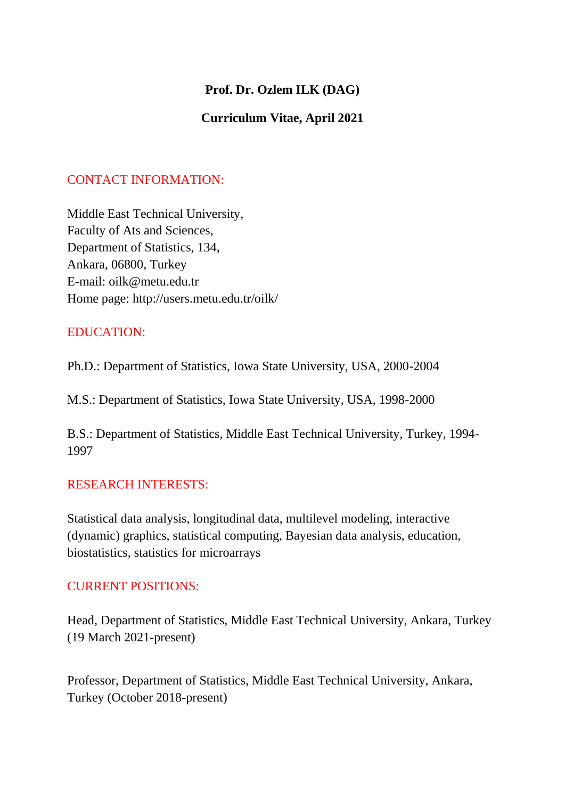## **Prof. Dr. Ozlem ILK (DAG)**

## **Curriculum Vitae, April 2021**

## CONTACT INFORMATION:

Middle East Technical University, Faculty of Ats and Sciences, Department of Statistics, 134, Ankara, 06800, Turkey E-mail: oilk@metu.edu.tr Home page: http://users.metu.edu.tr/oilk/

## EDUCATION:

Ph.D.: Department of Statistics, Iowa State University, USA, 2000-2004

M.S.: Department of Statistics, Iowa State University, USA, 1998-2000

B.S.: Department of Statistics, Middle East Technical University, Turkey, 1994- 1997

## RESEARCH INTERESTS:

Statistical data analysis, longitudinal data, multilevel modeling, interactive (dynamic) graphics, statistical computing, Bayesian data analysis, education, biostatistics, statistics for microarrays

#### CURRENT POSITIONS:

Head, Department of Statistics, Middle East Technical University, Ankara, Turkey (19 March 2021-present)

Professor, Department of Statistics, Middle East Technical University, Ankara, Turkey (October 2018-present)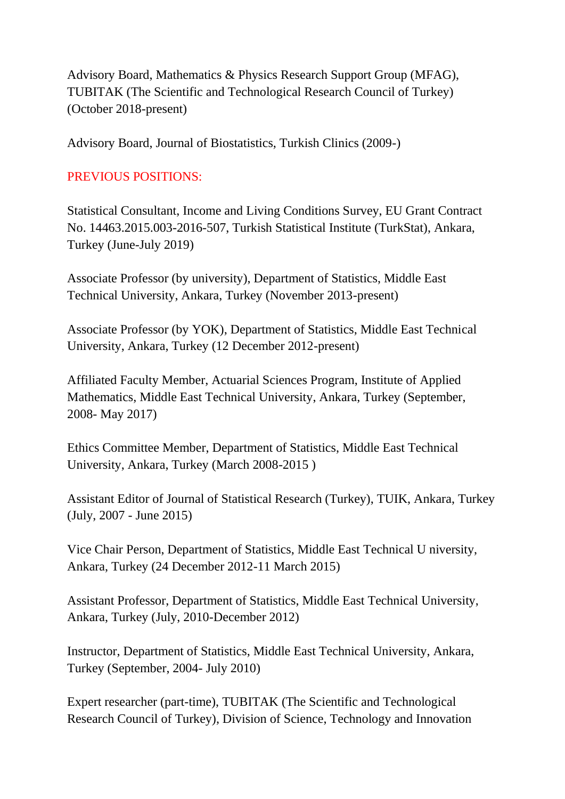Advisory Board, Mathematics & Physics Research Support Group (MFAG), TUBITAK (The Scientific and Technological Research Council of Turkey) (October 2018-present)

Advisory Board, Journal of Biostatistics, Turkish Clinics (2009-)

# PREVIOUS POSITIONS:

Statistical Consultant, Income and Living Conditions Survey, EU Grant Contract No. 14463.2015.003-2016-507, Turkish Statistical Institute (TurkStat), Ankara, Turkey (June-July 2019)

Associate Professor (by university), Department of Statistics, Middle East Technical University, Ankara, Turkey (November 2013-present)

Associate Professor (by YOK), Department of Statistics, Middle East Technical University, Ankara, Turkey (12 December 2012-present)

Affiliated Faculty Member, Actuarial Sciences Program, Institute of Applied Mathematics, Middle East Technical University, Ankara, Turkey (September, 2008- May 2017)

Ethics Committee Member, Department of Statistics, Middle East Technical University, Ankara, Turkey (March 2008-2015 )

Assistant Editor of Journal of Statistical Research (Turkey), TUIK, Ankara, Turkey (July, 2007 - June 2015)

Vice Chair Person, Department of Statistics, Middle East Technical U niversity, Ankara, Turkey (24 December 2012-11 March 2015)

Assistant Professor, Department of Statistics, Middle East Technical University, Ankara, Turkey (July, 2010-December 2012)

Instructor, Department of Statistics, Middle East Technical University, Ankara, Turkey (September, 2004- July 2010)

Expert researcher (part-time), TUBITAK (The Scientific and Technological Research Council of Turkey), Division of Science, Technology and Innovation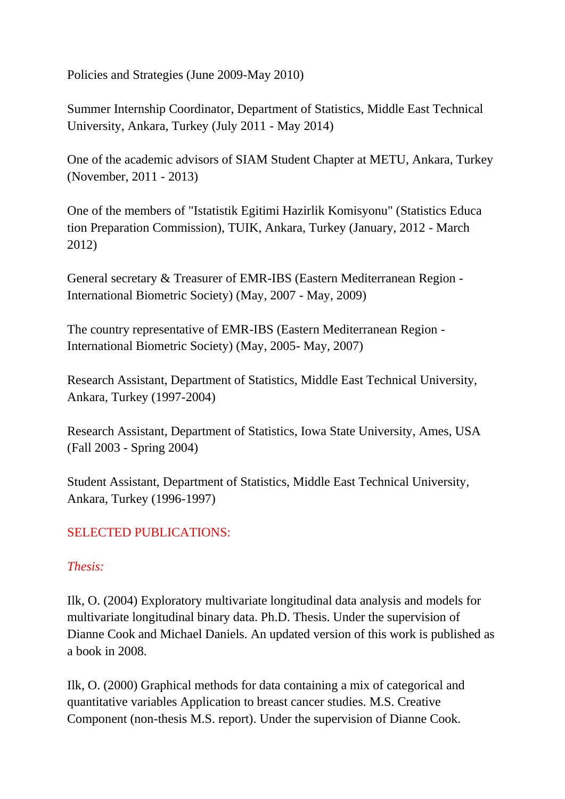Policies and Strategies (June 2009-May 2010)

Summer Internship Coordinator, Department of Statistics, Middle East Technical University, Ankara, Turkey (July 2011 - May 2014)

One of the academic advisors of SIAM Student Chapter at METU, Ankara, Turkey (November, 2011 - 2013)

One of the members of "Istatistik Egitimi Hazirlik Komisyonu" (Statistics Educa tion Preparation Commission), TUIK, Ankara, Turkey (January, 2012 - March 2012)

General secretary & Treasurer of EMR-IBS (Eastern Mediterranean Region - International Biometric Society) (May, 2007 - May, 2009)

The country representative of EMR-IBS (Eastern Mediterranean Region - International Biometric Society) (May, 2005- May, 2007)

Research Assistant, Department of Statistics, Middle East Technical University, Ankara, Turkey (1997-2004)

Research Assistant, Department of Statistics, Iowa State University, Ames, USA (Fall 2003 - Spring 2004)

Student Assistant, Department of Statistics, Middle East Technical University, Ankara, Turkey (1996-1997)

## SELECTED PUBLICATIONS:

## *Thesis:*

Ilk, O. (2004) Exploratory multivariate longitudinal data analysis and models for multivariate longitudinal binary data. Ph.D. Thesis. Under the supervision of Dianne Cook and Michael Daniels. An updated version of this work is published as a book in 2008.

Ilk, O. (2000) Graphical methods for data containing a mix of categorical and quantitative variables Application to breast cancer studies. M.S. Creative Component (non-thesis M.S. report). Under the supervision of Dianne Cook.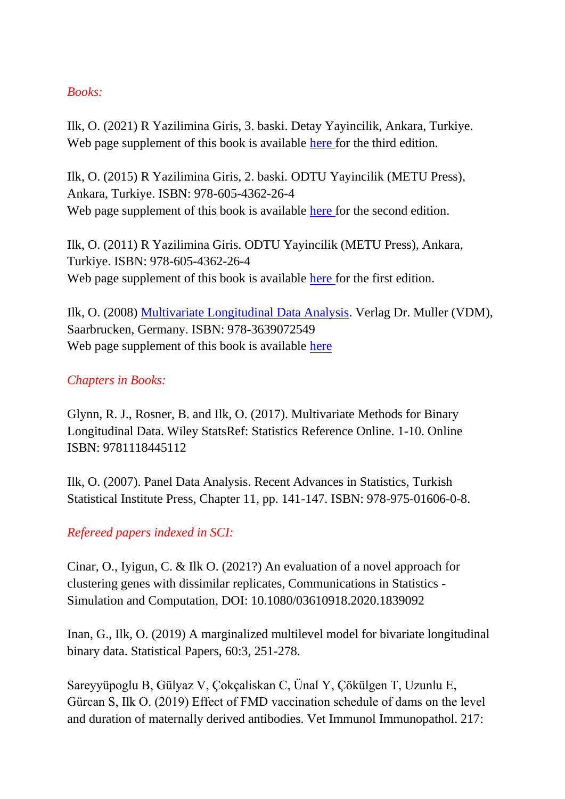#### *Books:*

Ilk, O. (2021) R Yazilimina Giris, 3. baski. Detay Yayincilik, Ankara, Turkiye. Web page supplement of this book is available [here](http://users.metu.edu.tr/oilk/Rgiris3.html) for the third edition.

Ilk, O. (2015) R Yazilimina Giris, 2. baski. ODTU Yayincilik (METU Press), Ankara, Turkiye. ISBN: 978-605-4362-26-4 Web page supplement of this book is available [here](http://users.metu.edu.tr/oilk/Rgiris2.html) for the second edition.

Ilk, O. (2011) R Yazilimina Giris. ODTU Yayincilik (METU Press), Ankara, Turkiye. ISBN: 978-605-4362-26-4 Web page supplement of this book is available [here](http://users.metu.edu.tr/oilk/Rgiris.html) for the first edition.

Ilk, O. (2008) [Multivariate Longitudinal Data Analysis.](http://www.amazon.com/Multivariate-Longitudinal-Data-Analysis-Ozlem/dp/3639072545/ref=sr_1_1?ie=UTF8&s=books&qid=1220273755&sr=1-1) Verlag Dr. Muller (VDM), Saarbrucken, Germany. ISBN: 978-3639072549 Web page supplement of this book is available [here](http://users.metu.edu.tr/oilk/mlda.html)

## *Chapters in Books:*

Glynn, R. J., Rosner, B. and Ilk, O. (2017). Multivariate Methods for Binary Longitudinal Data. Wiley StatsRef: Statistics Reference Online. 1-10. Online ISBN: 9781118445112

Ilk, O. (2007). Panel Data Analysis. Recent Advances in Statistics, Turkish Statistical Institute Press, Chapter 11, pp. 141-147. ISBN: 978-975-01606-0-8.

## *Refereed papers indexed in SCI:*

Cinar, O., Iyigun, C. & Ilk O. (2021?) An evaluation of a novel approach for clustering genes with dissimilar replicates, Communications in Statistics - Simulation and Computation, DOI: 10.1080/03610918.2020.1839092

Inan, G., Ilk, O. (2019) A marginalized multilevel model for bivariate longitudinal binary data. Statistical Papers, 60:3, 251-278.

Sareyyüpoglu B, Gülyaz V, Çokçaliskan C, Ünal Y, Çökülgen T, Uzunlu E, Gürcan S, Ilk O. (2019) Effect of FMD vaccination schedule of dams on the level and duration of maternally derived antibodies. Vet Immunol Immunopathol. 217: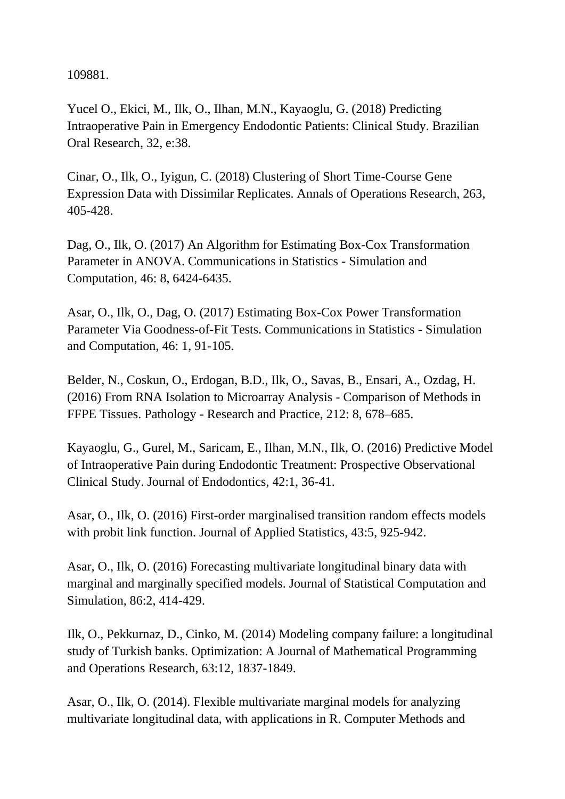109881.

Yucel O., Ekici, M., Ilk, O., Ilhan, M.N., Kayaoglu, G. (2018) Predicting Intraoperative Pain in Emergency Endodontic Patients: Clinical Study. Brazilian Oral Research, 32, e:38.

Cinar, O., Ilk, O., Iyigun, C. (2018) Clustering of Short Time-Course Gene Expression Data with Dissimilar Replicates. Annals of Operations Research, 263, 405-428.

Dag, O., Ilk, O. (2017) An Algorithm for Estimating Box-Cox Transformation Parameter in ANOVA. Communications in Statistics - Simulation and Computation, 46: 8, 6424-6435.

Asar, O., Ilk, O., Dag, O. (2017) Estimating Box-Cox Power Transformation Parameter Via Goodness-of-Fit Tests. Communications in Statistics - Simulation and Computation, 46: 1, 91-105.

Belder, N., Coskun, O., Erdogan, B.D., Ilk, O., Savas, B., Ensari, A., Ozdag, H. (2016) From RNA Isolation to Microarray Analysis - Comparison of Methods in FFPE Tissues. Pathology - Research and Practice, 212: 8, 678–685.

Kayaoglu, G., Gurel, M., Saricam, E., Ilhan, M.N., Ilk, O. (2016) Predictive Model of Intraoperative Pain during Endodontic Treatment: Prospective Observational Clinical Study. Journal of Endodontics, 42:1, 36-41.

Asar, O., Ilk, O. (2016) First-order marginalised transition random effects models with probit link function. Journal of Applied Statistics, 43:5, 925-942.

Asar, O., Ilk, O. (2016) Forecasting multivariate longitudinal binary data with marginal and marginally specified models. Journal of Statistical Computation and Simulation, 86:2, 414-429.

Ilk, O., Pekkurnaz, D., Cinko, M. (2014) Modeling company failure: a longitudinal study of Turkish banks. Optimization: A Journal of Mathematical Programming and Operations Research, 63:12, 1837-1849.

Asar, O., Ilk, O. (2014). Flexible multivariate marginal models for analyzing multivariate longitudinal data, with applications in R. Computer Methods and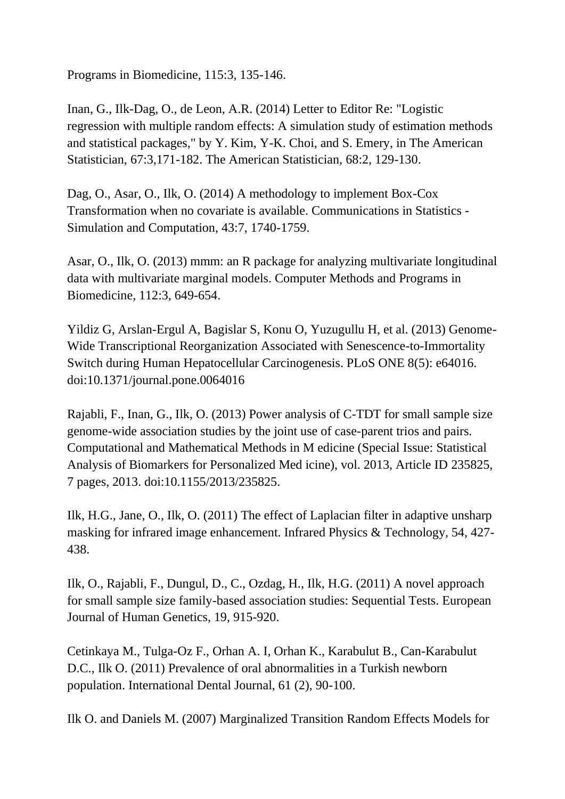Programs in Biomedicine, 115:3, 135-146.

Inan, G., Ilk-Dag, O., de Leon, A.R. (2014) Letter to Editor Re: "Logistic regression with multiple random effects: A simulation study of estimation methods and statistical packages," by Y. Kim, Y-K. Choi, and S. Emery, in The American Statistician, 67:3,171-182. The American Statistician, 68:2, 129-130.

Dag, O., Asar, O., Ilk, O. (2014) A methodology to implement Box-Cox Transformation when no covariate is available. Communications in Statistics - Simulation and Computation, 43:7, 1740-1759.

Asar, O., Ilk, O. (2013) mmm: an R package for analyzing multivariate longitudinal data with multivariate marginal models. Computer Methods and Programs in Biomedicine, 112:3, 649-654.

Yildiz G, Arslan-Ergul A, Bagislar S, Konu O, Yuzugullu H, et al. (2013) Genome-Wide Transcriptional Reorganization Associated with Senescence-to-Immortality Switch during Human Hepatocellular Carcinogenesis. PLoS ONE 8(5): e64016. doi:10.1371/journal.pone.0064016

Rajabli, F., Inan, G., Ilk, O. (2013) Power analysis of C-TDT for small sample size genome-wide association studies by the joint use of case-parent trios and pairs. Computational and Mathematical Methods in M edicine (Special Issue: Statistical Analysis of Biomarkers for Personalized Med icine), vol. 2013, Article ID 235825, 7 pages, 2013. doi:10.1155/2013/235825.

Ilk, H.G., Jane, O., Ilk, O. (2011) The effect of Laplacian filter in adaptive unsharp masking for infrared image enhancement. Infrared Physics & Technology, 54, 427- 438.

Ilk, O., Rajabli, F., Dungul, D., C., Ozdag, H., Ilk, H.G. (2011) A novel approach for small sample size family-based association studies: Sequential Tests. European Journal of Human Genetics, 19, 915-920.

Cetinkaya M., Tulga-Oz F., Orhan A. I, Orhan K., Karabulut B., Can-Karabulut D.C., Ilk O. (2011) Prevalence of oral abnormalities in a Turkish newborn population. International Dental Journal, 61 (2), 90-100.

Ilk O. and Daniels M. (2007) Marginalized Transition Random Effects Models for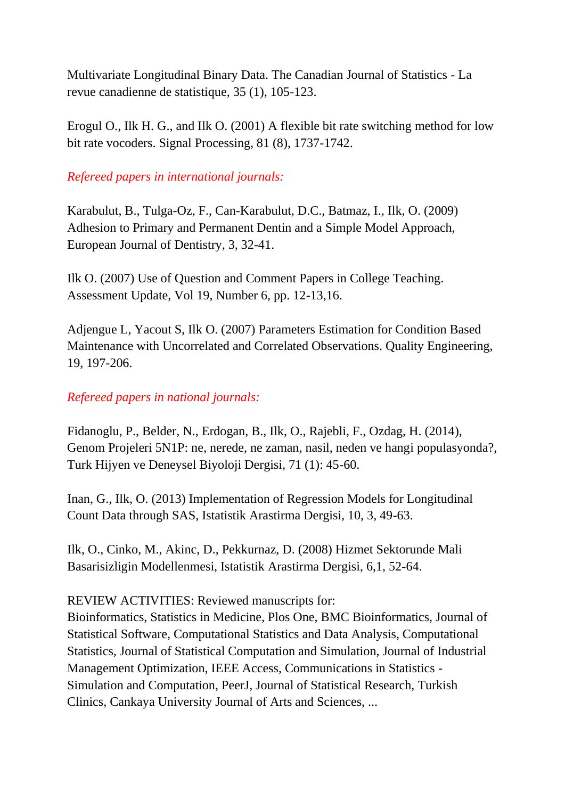Multivariate Longitudinal Binary Data. The Canadian Journal of Statistics - La revue canadienne de statistique, 35 (1), 105-123.

Erogul O., Ilk H. G., and Ilk O. (2001) A flexible bit rate switching method for low bit rate vocoders. Signal Processing, 81 (8), 1737-1742.

*Refereed papers in international journals:*

Karabulut, B., Tulga-Oz, F., Can-Karabulut, D.C., Batmaz, I., Ilk, O. (2009) Adhesion to Primary and Permanent Dentin and a Simple Model Approach, European Journal of Dentistry, 3, 32-41.

Ilk O. (2007) Use of Question and Comment Papers in College Teaching. Assessment Update, Vol 19, Number 6, pp. 12-13,16.

Adjengue L, Yacout S, Ilk O. (2007) Parameters Estimation for Condition Based Maintenance with Uncorrelated and Correlated Observations. Quality Engineering, 19, 197-206.

## *Refereed papers in national journals:*

Fidanoglu, P., Belder, N., Erdogan, B., Ilk, O., Rajebli, F., Ozdag, H. (2014), Genom Projeleri 5N1P: ne, nerede, ne zaman, nasil, neden ve hangi populasyonda?, Turk Hijyen ve Deneysel Biyoloji Dergisi, 71 (1): 45-60.

Inan, G., Ilk, O. (2013) Implementation of Regression Models for Longitudinal Count Data through SAS, Istatistik Arastirma Dergisi, 10, 3, 49-63.

Ilk, O., Cinko, M., Akinc, D., Pekkurnaz, D. (2008) Hizmet Sektorunde Mali Basarisizligin Modellenmesi, Istatistik Arastirma Dergisi, 6,1, 52-64.

## REVIEW ACTIVITIES: Reviewed manuscripts for:

Bioinformatics, Statistics in Medicine, Plos One, BMC Bioinformatics, Journal of Statistical Software, Computational Statistics and Data Analysis, Computational Statistics, Journal of Statistical Computation and Simulation, Journal of Industrial Management Optimization, IEEE Access, Communications in Statistics - Simulation and Computation, PeerJ, Journal of Statistical Research, Turkish Clinics, Cankaya University Journal of Arts and Sciences, ...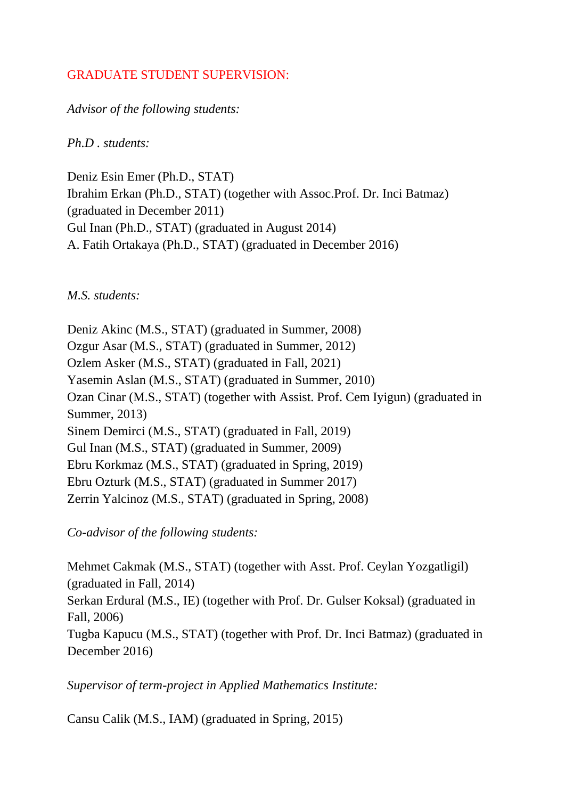## GRADUATE STUDENT SUPERVISION:

*Advisor of the following students:*

*Ph.D . students:*

Deniz Esin Emer (Ph.D., STAT) Ibrahim Erkan (Ph.D., STAT) (together with Assoc.Prof. Dr. Inci Batmaz) (graduated in December 2011) Gul Inan (Ph.D., STAT) (graduated in August 2014) A. Fatih Ortakaya (Ph.D., STAT) (graduated in December 2016)

*M.S. students:*

Deniz Akinc (M.S., STAT) (graduated in Summer, 2008) Ozgur Asar (M.S., STAT) (graduated in Summer, 2012) Ozlem Asker (M.S., STAT) (graduated in Fall, 2021) Yasemin Aslan (M.S., STAT) (graduated in Summer, 2010) Ozan Cinar (M.S., STAT) (together with Assist. Prof. Cem Iyigun) (graduated in Summer, 2013) Sinem Demirci (M.S., STAT) (graduated in Fall, 2019) Gul Inan (M.S., STAT) (graduated in Summer, 2009) Ebru Korkmaz (M.S., STAT) (graduated in Spring, 2019) Ebru Ozturk (M.S., STAT) (graduated in Summer 2017) Zerrin Yalcinoz (M.S., STAT) (graduated in Spring, 2008)

*Co-advisor of the following students:*

Mehmet Cakmak (M.S., STAT) (together with Asst. Prof. Ceylan Yozgatligil) (graduated in Fall, 2014) Serkan Erdural (M.S., IE) (together with Prof. Dr. Gulser Koksal) (graduated in Fall, 2006) Tugba Kapucu (M.S., STAT) (together with Prof. Dr. Inci Batmaz) (graduated in December 2016)

*Supervisor of term-project in Applied Mathematics Institute:*

Cansu Calik (M.S., IAM) (graduated in Spring, 2015)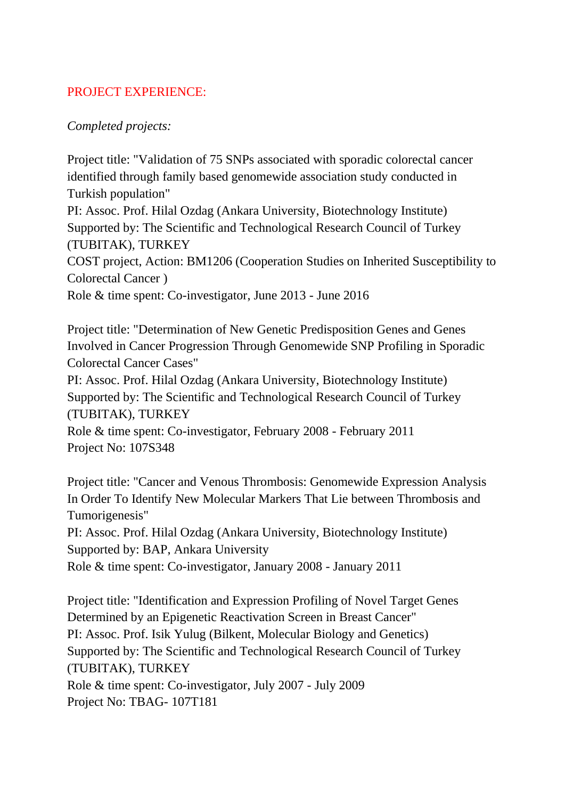## PROJECT EXPERIENCE:

### *Completed projects:*

Project title: "Validation of 75 SNPs associated with sporadic colorectal cancer identified through family based genomewide association study conducted in Turkish population"

PI: Assoc. Prof. Hilal Ozdag (Ankara University, Biotechnology Institute) Supported by: The Scientific and Technological Research Council of Turkey (TUBITAK), TURKEY

COST project, Action: BM1206 (Cooperation Studies on Inherited Susceptibility to Colorectal Cancer )

Role & time spent: Co-investigator, June 2013 - June 2016

Project title: "Determination of New Genetic Predisposition Genes and Genes Involved in Cancer Progression Through Genomewide SNP Profiling in Sporadic Colorectal Cancer Cases"

PI: Assoc. Prof. Hilal Ozdag (Ankara University, Biotechnology Institute) Supported by: The Scientific and Technological Research Council of Turkey (TUBITAK), TURKEY

Role & time spent: Co-investigator, February 2008 - February 2011 Project No: 107S348

Project title: "Cancer and Venous Thrombosis: Genomewide Expression Analysis In Order To Identify New Molecular Markers That Lie between Thrombosis and Tumorigenesis"

PI: Assoc. Prof. Hilal Ozdag (Ankara University, Biotechnology Institute) Supported by: BAP, Ankara University

Role & time spent: Co-investigator, January 2008 - January 2011

Project title: "Identification and Expression Profiling of Novel Target Genes Determined by an Epigenetic Reactivation Screen in Breast Cancer" PI: Assoc. Prof. Isik Yulug (Bilkent, Molecular Biology and Genetics) Supported by: The Scientific and Technological Research Council of Turkey (TUBITAK), TURKEY Role & time spent: Co-investigator, July 2007 - July 2009 Project No: TBAG- 107T181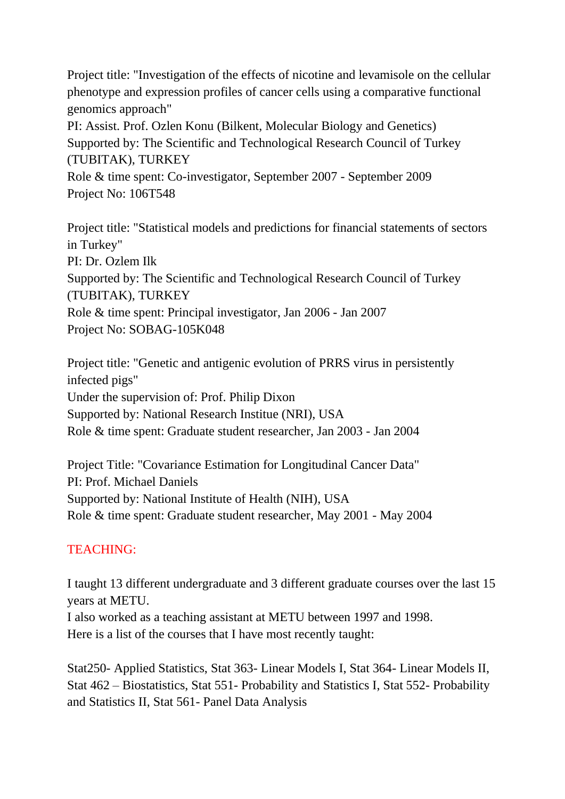Project title: "Investigation of the effects of nicotine and levamisole on the cellular phenotype and expression profiles of cancer cells using a comparative functional genomics approach" PI: Assist. Prof. Ozlen Konu (Bilkent, Molecular Biology and Genetics) Supported by: The Scientific and Technological Research Council of Turkey (TUBITAK), TURKEY Role & time spent: Co-investigator, September 2007 - September 2009 Project No: 106T548

Project title: "Statistical models and predictions for financial statements of sectors in Turkey" PI: Dr. Ozlem Ilk Supported by: The Scientific and Technological Research Council of Turkey (TUBITAK), TURKEY Role & time spent: Principal investigator, Jan 2006 - Jan 2007 Project No: SOBAG-105K048

Project title: "Genetic and antigenic evolution of PRRS virus in persistently infected pigs" Under the supervision of: Prof. Philip Dixon Supported by: National Research Institue (NRI), USA Role & time spent: Graduate student researcher, Jan 2003 - Jan 2004

Project Title: "Covariance Estimation for Longitudinal Cancer Data" PI: Prof. Michael Daniels Supported by: National Institute of Health (NIH), USA Role & time spent: Graduate student researcher, May 2001 - May 2004

## TEACHING:

I taught 13 different undergraduate and 3 different graduate courses over the last 15 years at METU. I also worked as a teaching assistant at METU between 1997 and 1998.

Here is a list of the courses that I have most recently taught:

Stat250- Applied Statistics, Stat 363- Linear Models I, Stat 364- Linear Models II, Stat 462 – Biostatistics, Stat 551- Probability and Statistics I, Stat 552- Probability and Statistics II, Stat 561- Panel Data Analysis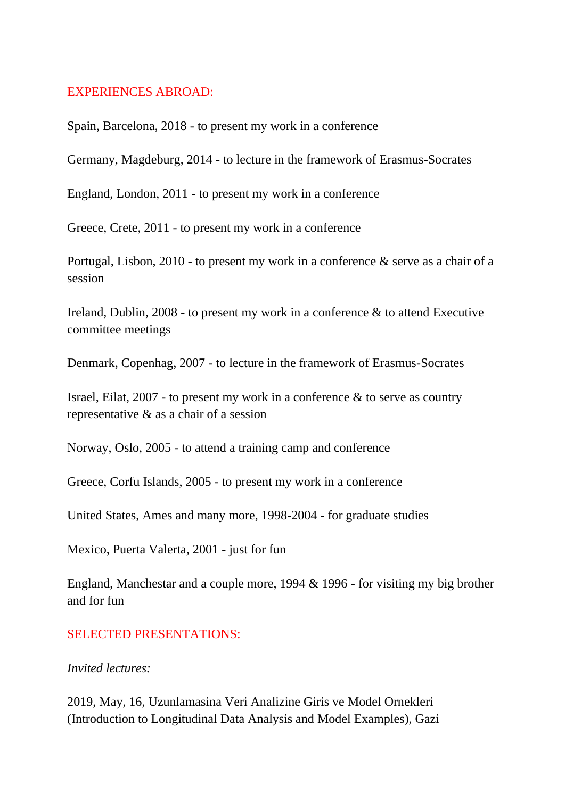#### EXPERIENCES ABROAD:

Spain, Barcelona, 2018 - to present my work in a conference

Germany, Magdeburg, 2014 - to lecture in the framework of Erasmus-Socrates

England, London, 2011 - to present my work in a conference

Greece, Crete, 2011 - to present my work in a conference

Portugal, Lisbon, 2010 - to present my work in a conference & serve as a chair of a session

Ireland, Dublin, 2008 - to present my work in a conference & to attend Executive committee meetings

Denmark, Copenhag, 2007 - to lecture in the framework of Erasmus-Socrates

Israel, Eilat,  $2007$  - to present my work in a conference  $\&$  to serve as country representative & as a chair of a session

Norway, Oslo, 2005 - to attend a training camp and conference

Greece, Corfu Islands, 2005 - to present my work in a conference

United States, Ames and many more, 1998-2004 - for graduate studies

Mexico, Puerta Valerta, 2001 - just for fun

England, Manchestar and a couple more, 1994 & 1996 - for visiting my big brother and for fun

#### SELECTED PRESENTATIONS:

#### *Invited lectures:*

2019, May, 16, Uzunlamasina Veri Analizine Giris ve Model Ornekleri (Introduction to Longitudinal Data Analysis and Model Examples), Gazi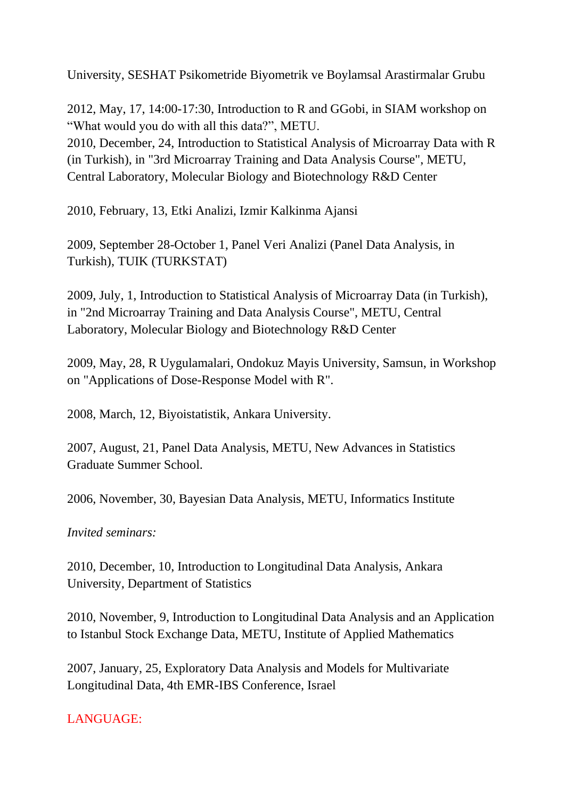University, SESHAT Psikometride Biyometrik ve Boylamsal Arastirmalar Grubu

2012, May, 17, 14:00-17:30, Introduction to R and GGobi, in SIAM workshop on "What would you do with all this data?", METU. 2010, December, 24, Introduction to Statistical Analysis of Microarray Data with R (in Turkish), in "3rd Microarray Training and Data Analysis Course", METU, Central Laboratory, Molecular Biology and Biotechnology R&D Center

2010, February, 13, Etki Analizi, Izmir Kalkinma Ajansi

2009, September 28-October 1, Panel Veri Analizi (Panel Data Analysis, in Turkish), TUIK (TURKSTAT)

2009, July, 1, Introduction to Statistical Analysis of Microarray Data (in Turkish), in "2nd Microarray Training and Data Analysis Course", METU, Central Laboratory, Molecular Biology and Biotechnology R&D Center

2009, May, 28, R Uygulamalari, Ondokuz Mayis University, Samsun, in Workshop on "Applications of Dose-Response Model with R".

2008, March, 12, Biyoistatistik, Ankara University.

2007, August, 21, Panel Data Analysis, METU, New Advances in Statistics Graduate Summer School.

2006, November, 30, Bayesian Data Analysis, METU, Informatics Institute

*Invited seminars:*

2010, December, 10, Introduction to Longitudinal Data Analysis, Ankara University, Department of Statistics

2010, November, 9, Introduction to Longitudinal Data Analysis and an Application to Istanbul Stock Exchange Data, METU, Institute of Applied Mathematics

2007, January, 25, Exploratory Data Analysis and Models for Multivariate Longitudinal Data, 4th EMR-IBS Conference, Israel

LANGUAGE: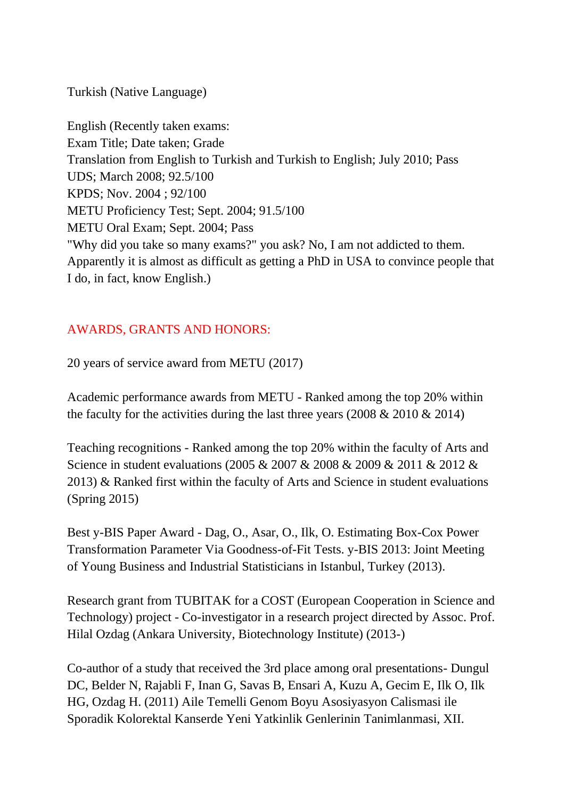Turkish (Native Language)

English (Recently taken exams: Exam Title; Date taken; Grade Translation from English to Turkish and Turkish to English; July 2010; Pass UDS; March 2008; 92.5/100 KPDS; Nov. 2004 ; 92/100 METU Proficiency Test; Sept. 2004; 91.5/100 METU Oral Exam; Sept. 2004; Pass "Why did you take so many exams?" you ask? No, I am not addicted to them. Apparently it is almost as difficult as getting a PhD in USA to convince people that I do, in fact, know English.)

# AWARDS, GRANTS AND HONORS:

20 years of service award from METU (2017)

Academic performance awards from METU - Ranked among the top 20% within the faculty for the activities during the last three years (2008  $& 2010 & 2014$ )

Teaching recognitions - Ranked among the top 20% within the faculty of Arts and Science in student evaluations (2005 & 2007 & 2008 & 2009 & 2011 & 2012 & 2013) & Ranked first within the faculty of Arts and Science in student evaluations (Spring 2015)

Best y-BIS Paper Award - Dag, O., Asar, O., Ilk, O. Estimating Box-Cox Power Transformation Parameter Via Goodness-of-Fit Tests. y-BIS 2013: Joint Meeting of Young Business and Industrial Statisticians in Istanbul, Turkey (2013).

Research grant from TUBITAK for a COST (European Cooperation in Science and Technology) project - Co-investigator in a research project directed by Assoc. Prof. Hilal Ozdag (Ankara University, Biotechnology Institute) (2013-)

Co-author of a study that received the 3rd place among oral presentations- Dungul DC, Belder N, Rajabli F, Inan G, Savas B, Ensari A, Kuzu A, Gecim E, Ilk O, Ilk HG, Ozdag H. (2011) Aile Temelli Genom Boyu Asosiyasyon Calismasi ile Sporadik Kolorektal Kanserde Yeni Yatkinlik Genlerinin Tanimlanmasi, XII.